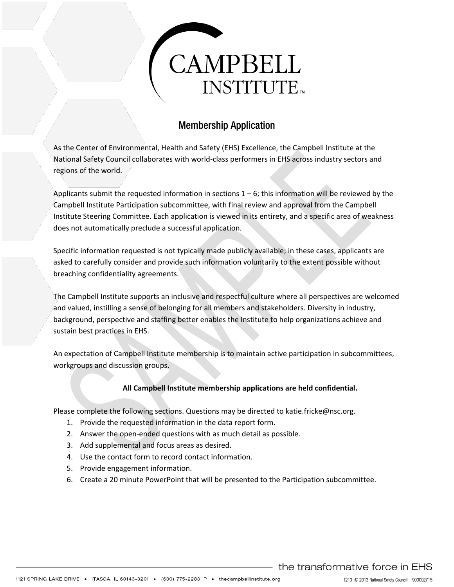# CAMPBELL **INSTITUTE**

# Membership Application

As the Center of Environmental, Health and Safety (EHS) Excellence, the Campbell Institute at the National Safety Council collaborates with world-class performers in EHS across industry sectors and regions of the world.

Applicants submit the requested information in sections  $1 - 6$ ; this information will be reviewed by the Campbell Institute Participation subcommittee, with final review and approval from the Campbell Institute Steering Committee. Each application is viewed in its entirety, and a specific area of weakness does not automatically preclude a successful application.

Specific information requested is not typically made publicly available; in these cases, applicants are asked to carefully consider and provide such information voluntarily to the extent possible without breaching confidentiality agreements.

The Campbell Institute supports an inclusive and respectful culture where all perspectives are welcomed and valued, instilling a sense of belonging for all members and stakeholders. Diversity in industry, background, perspective and staffing better enables the Institute to help organizations achieve and sustain best practices in EHS.

An expectation of Campbell Institute membership is to maintain active participation in subcommittees, workgroups and discussion groups.

# **All Campbell Institute membership applications are held confidential.**

Please complete the following sections. Questions may be directed to [katie.fricke@nsc.org.](mailto:katie.fricke@nsc.org)

- 1. Provide the requested information in the data report form.
- 2. Answer the open-ended questions with as much detail as possible.
- 3. Add supplemental and focus areas as desired.
- 4. Use the contact form to record contact information.
- 5. Provide engagement information.
- 6. Create a 20 minute PowerPoint that will be presented to the Participation subcommittee.

the transformative force in EHS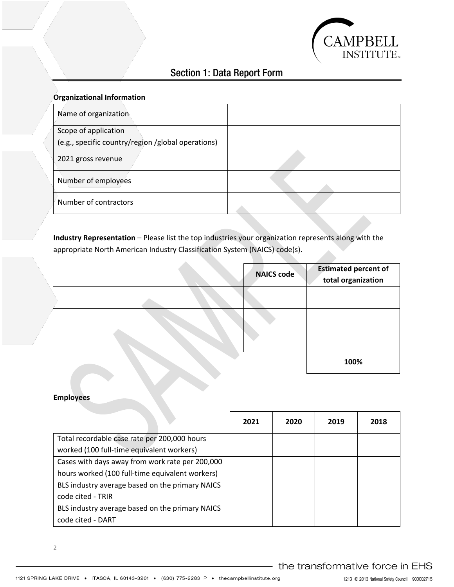

# Section 1: Data Report Form

| <b>Organizational Information</b>                  |  |
|----------------------------------------------------|--|
| Name of organization                               |  |
| Scope of application                               |  |
| (e.g., specific country/region /global operations) |  |
| 2021 gross revenue                                 |  |
| Number of employees                                |  |
| Number of contractors                              |  |

**Industry Representation** – Please list the top industries your organization represents along with the appropriate North American Industry Classification System (NAICS) code(s).

|  | <b>NAICS code</b> | <b>Estimated percent of</b><br>total organization |
|--|-------------------|---------------------------------------------------|
|  |                   |                                                   |
|  |                   |                                                   |
|  |                   |                                                   |
|  |                   | 100%                                              |

## **Employees**

|                                                 | 2021 | 2020 | 2019 | 2018 |
|-------------------------------------------------|------|------|------|------|
| Total recordable case rate per 200,000 hours    |      |      |      |      |
| worked (100 full-time equivalent workers)       |      |      |      |      |
| Cases with days away from work rate per 200,000 |      |      |      |      |
| hours worked (100 full-time equivalent workers) |      |      |      |      |
| BLS industry average based on the primary NAICS |      |      |      |      |
| code cited - TRIR                               |      |      |      |      |
| BLS industry average based on the primary NAICS |      |      |      |      |
| code cited - DART                               |      |      |      |      |

2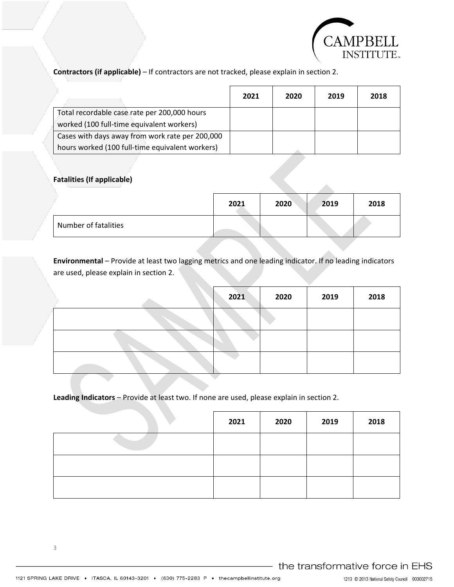

**Contractors (if applicable)** – If contractors are not tracked, please explain in section 2.

|                                                 | 2021 | 2020 | 2019 | 2018 |
|-------------------------------------------------|------|------|------|------|
| Total recordable case rate per 200,000 hours    |      |      |      |      |
| worked (100 full-time equivalent workers)       |      |      |      |      |
| Cases with days away from work rate per 200,000 |      |      |      |      |
| hours worked (100 full-time equivalent workers) |      |      |      |      |

# **Fatalities (If applicable)**

|                      | 2021 | 2020 | 2019 | 2018 |
|----------------------|------|------|------|------|
| Number of fatalities |      |      |      |      |

**Environmental** – Provide at least two lagging metrics and one leading indicator. If no leading indicators are used, please explain in section 2.

|  | 2021 | 2020 | 2019 | 2018 |
|--|------|------|------|------|
|  |      |      |      |      |
|  |      |      |      |      |
|  |      |      |      |      |

# **Leading Indicators** – Provide at least two. If none are used, please explain in section 2.

| 2021 | 2020 | 2019 | 2018 |
|------|------|------|------|
|      |      |      |      |
|      |      |      |      |
|      |      |      |      |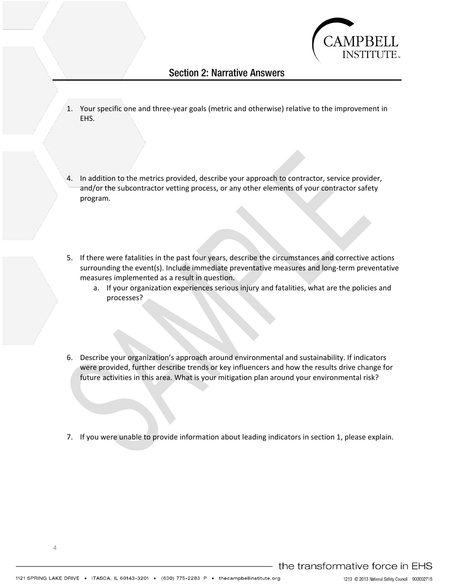

# Section 2: Narrative Answers

- 1. Your specific one and three-year goals (metric and otherwise) relative to the improvement in EHS.
- 4. In addition to the metrics provided, describe your approach to contractor, service provider, and/or the subcontractor vetting process, or any other elements of your contractor safety program.
- 5. If there were fatalities in the past four years, describe the circumstances and corrective actions surrounding the event(s). Include immediate preventative measures and long-term preventative measures implemented as a result in question.
	- a. If your organization experiences serious injury and fatalities, what are the policies and processes?
- 6. Describe your organization's approach around environmental and sustainability. If indicators were provided, further describe trends or key influencers and how the results drive change for future activities in this area. What is your mitigation plan around your environmental risk?
- 7. If you were unable to provide information about leading indicators in section 1, please explain.

1213 © 2013 National Safety Council 900002715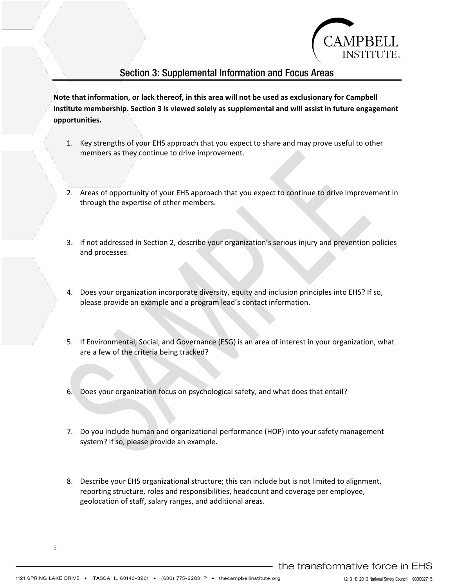

# Section 3: Supplemental Information and Focus Areas

**Note that information, or lack thereof, in this area will not be used as exclusionary for Campbell Institute membership. Section 3 is viewed solely as supplemental and will assist in future engagement opportunities.** 

- 1. Key strengths of your EHS approach that you expect to share and may prove useful to other members as they continue to drive improvement.
- 2. Areas of opportunity of your EHS approach that you expect to continue to drive improvement in through the expertise of other members.
- 3. If not addressed in Section 2, describe your organization's serious injury and prevention policies and processes.
- 4. Does your organization incorporate diversity, equity and inclusion principles into EHS? If so, please provide an example and a program lead's contact information.
- 5. If Environmental, Social, and Governance (ESG) is an area of interest in your organization, what are a few of the criteria being tracked?
- 6. Does your organization focus on psychological safety, and what does that entail?
- 7. Do you include human and organizational performance (HOP) into your safety management system? If so, please provide an example.
- 8. Describe your EHS organizational structure; this can include but is not limited to alignment, reporting structure, roles and responsibilities, headcount and coverage per employee, geolocation of staff, salary ranges, and additional areas.

5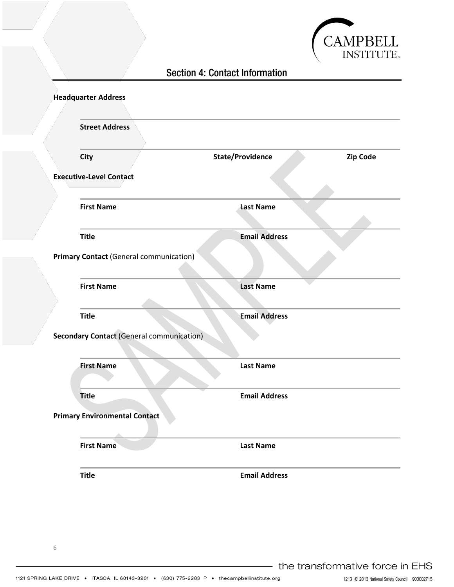

# Section 4: Contact Information

| <b>Headquarter Address</b>     |                                                  |                         |          |
|--------------------------------|--------------------------------------------------|-------------------------|----------|
|                                | <b>Street Address</b>                            |                         |          |
| City                           |                                                  | <b>State/Providence</b> | Zip Code |
| <b>Executive-Level Contact</b> |                                                  |                         |          |
|                                | <b>First Name</b>                                | <b>Last Name</b>        |          |
| <b>Title</b>                   |                                                  | <b>Email Address</b>    |          |
|                                | <b>Primary Contact (General communication)</b>   |                         |          |
|                                | <b>First Name</b>                                | <b>Last Name</b>        |          |
| <b>Title</b>                   |                                                  | <b>Email Address</b>    |          |
|                                | <b>Secondary Contact (General communication)</b> |                         |          |
|                                | <b>First Name</b>                                | <b>Last Name</b>        |          |
|                                |                                                  | <b>Email Address</b>    |          |
| <b>Title</b>                   |                                                  |                         |          |
|                                | <b>Primary Environmental Contact</b>             |                         |          |
|                                | <b>First Name</b>                                | <b>Last Name</b>        |          |

the transformative force in EHS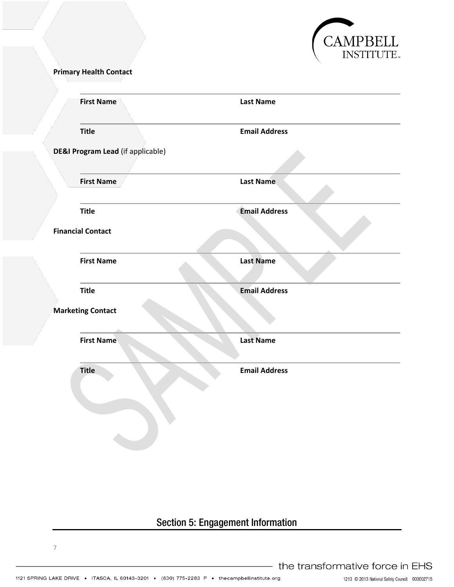

**Primary Health Contact** 

| <b>First Name</b>        | <b>Last Name</b>                                       |
|--------------------------|--------------------------------------------------------|
| <b>Title</b>             | <b>Email Address</b>                                   |
|                          |                                                        |
|                          |                                                        |
|                          |                                                        |
|                          | Last Name                                              |
| <b>Title</b>             | <b>Email Address</b>                                   |
| <b>Financial Contact</b> |                                                        |
| <b>First Name</b>        | <b>Last Name</b>                                       |
| <b>Title</b>             | <b>Email Address</b>                                   |
| <b>Marketing Contact</b> |                                                        |
|                          |                                                        |
| <b>First Name</b>        | <b>Last Name</b>                                       |
| <b>Title</b>             | <b>Email Address</b>                                   |
|                          |                                                        |
|                          |                                                        |
|                          |                                                        |
|                          | DE&I Program Lead (if applicable)<br><b>First Name</b> |

# Section 5: Engagement Information

7

1213 C 2013 National Safety Council 900002715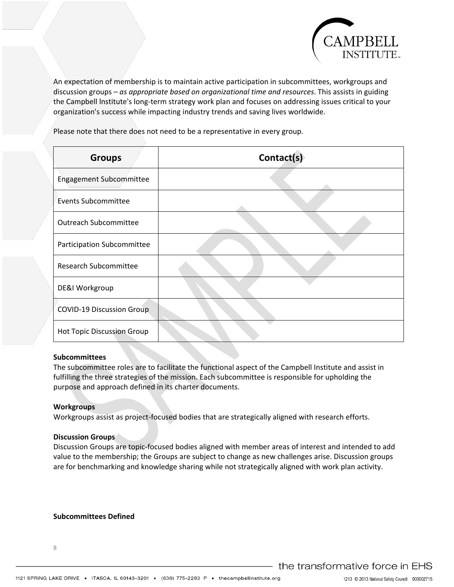

An expectation of membership is to maintain active participation in subcommittees, workgroups and discussion groups – *as appropriate based on organizational time and resources*. This assists in guiding the Campbell lnstitute's long-term strategy work plan and focuses on addressing issues critical to your organization's success while impacting industry trends and saving lives worldwide.

Please note that there does not need to be a representative in every group.

| <b>Groups</b>                     | Contact(s) |
|-----------------------------------|------------|
| Engagement Subcommittee           |            |
| Events Subcommittee               |            |
| <b>Outreach Subcommittee</b>      |            |
| <b>Participation Subcommittee</b> |            |
| <b>Research Subcommittee</b>      |            |
| DE&I Workgroup                    |            |
| <b>COVID-19 Discussion Group</b>  |            |
| <b>Hot Topic Discussion Group</b> |            |

#### **Subcommittees**

The subcommittee roles are to facilitate the functional aspect of the Campbell Institute and assist in fulfilling the three strategies of the mission. Each subcommittee is responsible for upholding the purpose and approach defined in its charter documents.

#### **Workgroups**

Workgroups assist as project-focused bodies that are strategically aligned with research efforts.

#### **Discussion Groups**

Discussion Groups are topic-focused bodies aligned with member areas of interest and intended to add value to the membership; the Groups are subject to change as new challenges arise. Discussion groups are for benchmarking and knowledge sharing while not strategically aligned with work plan activity.

#### **Subcommittees Defined**

the transformative force in EHS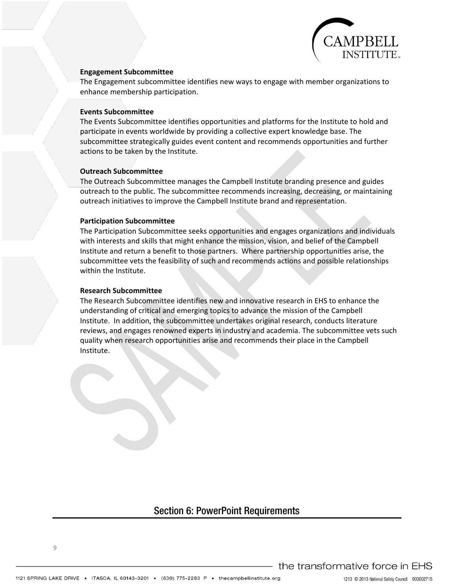

#### **Engagement Subcommittee**

The Engagement subcommittee identifies new ways to engage with member organizations to enhance membership participation.

#### **Events Subcommittee**

The Events Subcommittee identifies opportunities and platforms for the Institute to hold and participate in events worldwide by providing a collective expert knowledge base. The subcommittee strategically guides event content and recommends opportunities and further actions to be taken by the Institute.

#### **Outreach Subcommittee**

The Outreach Subcommittee manages the Campbell Institute branding presence and guides outreach to the public. The subcommittee recommends increasing, decreasing, or maintaining outreach initiatives to improve the Campbell Institute brand and representation.

#### **Participation Subcommittee**

The Participation Subcommittee seeks opportunities and engages organizations and individuals with interests and skills that might enhance the mission, vision, and belief of the Campbell Institute and return a benefit to those partners. Where partnership opportunities arise, the subcommittee vets the feasibility of such and recommends actions and possible relationships within the Institute.

#### **Research Subcommittee**

The Research Subcommittee identifies new and innovative research in EHS to enhance the understanding of critical and emerging topics to advance the mission of the Campbell Institute. In addition, the subcommittee undertakes original research, conducts literature reviews, and engages renowned experts in industry and academia. The subcommittee vets such quality when research opportunities arise and recommends their place in the Campbell Institute.

# Section 6: PowerPoint Requirements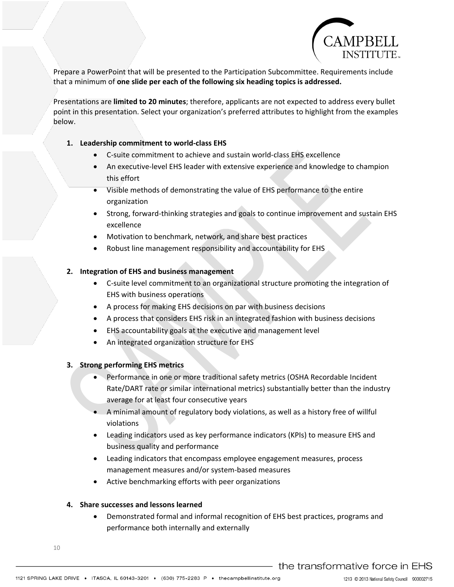

Prepare a PowerPoint that will be presented to the Participation Subcommittee. Requirements include that a minimum of **one slide per each of the following six heading topics is addressed.** 

Presentations are **limited to 20 minutes**; therefore, applicants are not expected to address every bullet point in this presentation. Select your organization's preferred attributes to highlight from the examples below.

## **1. Leadership commitment to world-class EHS**

- C-suite commitment to achieve and sustain world-class EHS excellence
- An executive-level EHS leader with extensive experience and knowledge to champion this effort
- Visible methods of demonstrating the value of EHS performance to the entire organization
- Strong, forward-thinking strategies and goals to continue improvement and sustain EHS excellence
- Motivation to benchmark, network, and share best practices
- Robust line management responsibility and accountability for EHS

## **2. Integration of EHS and business management**

- C-suite level commitment to an organizational structure promoting the integration of EHS with business operations
- A process for making EHS decisions on par with business decisions
- A process that considers EHS risk in an integrated fashion with business decisions
- EHS accountability goals at the executive and management level
- An integrated organization structure for EHS

## **3. Strong performing EHS metrics**

- Performance in one or more traditional safety metrics (OSHA Recordable Incident Rate/DART rate or similar international metrics) substantially better than the industry average for at least four consecutive years
- A minimal amount of regulatory body violations, as well as a history free of willful violations
- Leading indicators used as key performance indicators (KPIs) to measure EHS and business quality and performance
- Leading indicators that encompass employee engagement measures, process management measures and/or system-based measures
- Active benchmarking efforts with peer organizations

## **4. Share successes and lessons learned**

• Demonstrated formal and informal recognition of EHS best practices, programs and performance both internally and externally